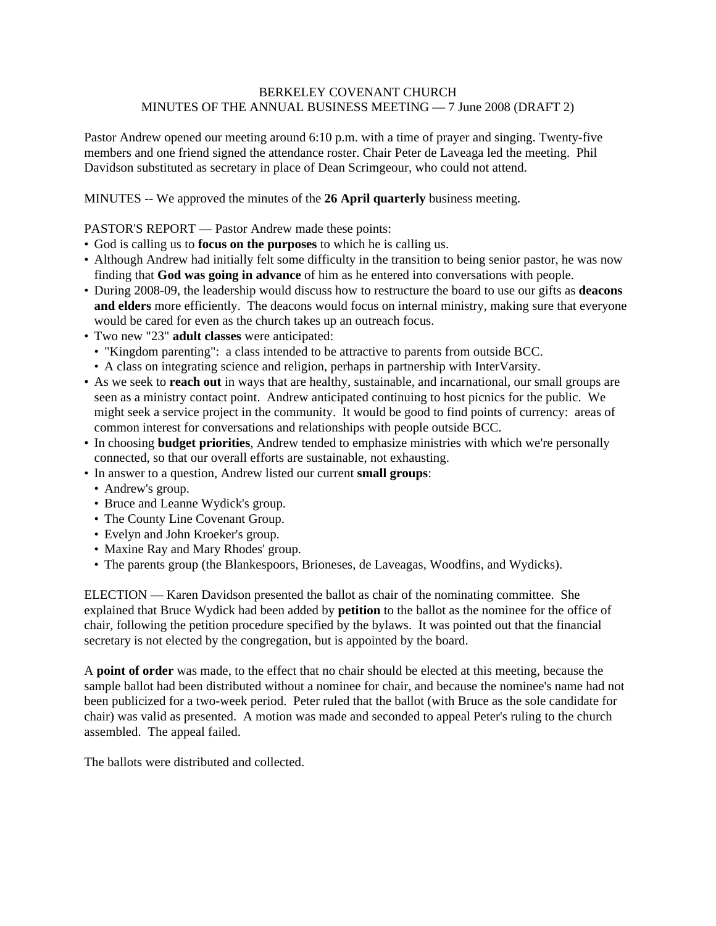## BERKELEY COVENANT CHURCH MINUTES OF THE ANNUAL BUSINESS MEETING — 7 June 2008 (DRAFT 2)

Pastor Andrew opened our meeting around 6:10 p.m. with a time of prayer and singing. Twenty-five members and one friend signed the attendance roster. Chair Peter de Laveaga led the meeting. Phil Davidson substituted as secretary in place of Dean Scrimgeour, who could not attend.

MINUTES -- We approved the minutes of the **26 April quarterly** business meeting.

PASTOR'S REPORT — Pastor Andrew made these points:

- God is calling us to **focus on the purposes** to which he is calling us.
- Although Andrew had initially felt some difficulty in the transition to being senior pastor, he was now finding that **God was going in advance** of him as he entered into conversations with people.
- During 2008-09, the leadership would discuss how to restructure the board to use our gifts as **deacons and elders** more efficiently. The deacons would focus on internal ministry, making sure that everyone would be cared for even as the church takes up an outreach focus.
- Two new "23" **adult classes** were anticipated:
	- "Kingdom parenting": a class intended to be attractive to parents from outside BCC.
	- A class on integrating science and religion, perhaps in partnership with InterVarsity.
- As we seek to **reach out** in ways that are healthy, sustainable, and incarnational, our small groups are seen as a ministry contact point. Andrew anticipated continuing to host picnics for the public. We might seek a service project in the community. It would be good to find points of currency: areas of common interest for conversations and relationships with people outside BCC.
- In choosing **budget priorities**, Andrew tended to emphasize ministries with which we're personally connected, so that our overall efforts are sustainable, not exhausting.
- In answer to a question, Andrew listed our current **small groups**:
	- Andrew's group.
	- Bruce and Leanne Wydick's group.
	- The County Line Covenant Group.
	- Evelyn and John Kroeker's group.
	- Maxine Ray and Mary Rhodes' group.
	- The parents group (the Blankespoors, Brioneses, de Laveagas, Woodfins, and Wydicks).

ELECTION — Karen Davidson presented the ballot as chair of the nominating committee. She explained that Bruce Wydick had been added by **petition** to the ballot as the nominee for the office of chair, following the petition procedure specified by the bylaws. It was pointed out that the financial secretary is not elected by the congregation, but is appointed by the board.

A **point of order** was made, to the effect that no chair should be elected at this meeting, because the sample ballot had been distributed without a nominee for chair, and because the nominee's name had not been publicized for a two-week period. Peter ruled that the ballot (with Bruce as the sole candidate for chair) was valid as presented. A motion was made and seconded to appeal Peter's ruling to the church assembled. The appeal failed.

The ballots were distributed and collected.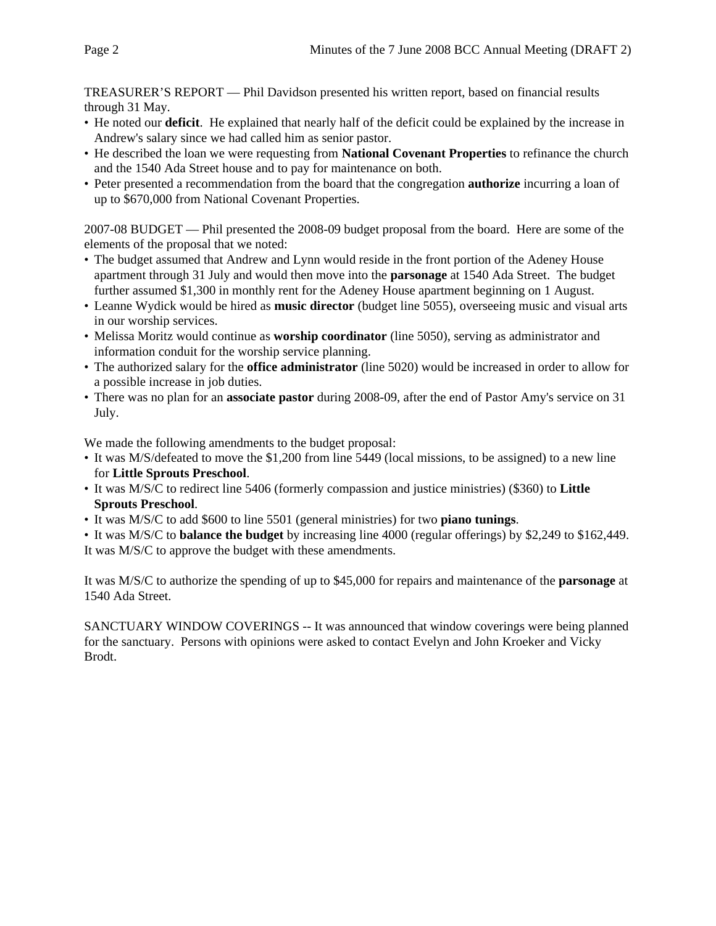TREASURER'S REPORT — Phil Davidson presented his written report, based on financial results through 31 May.

- He noted our **deficit**. He explained that nearly half of the deficit could be explained by the increase in Andrew's salary since we had called him as senior pastor.
- He described the loan we were requesting from **National Covenant Properties** to refinance the church and the 1540 Ada Street house and to pay for maintenance on both.
- Peter presented a recommendation from the board that the congregation **authorize** incurring a loan of up to \$670,000 from National Covenant Properties.

2007-08 BUDGET — Phil presented the 2008-09 budget proposal from the board. Here are some of the elements of the proposal that we noted:

- The budget assumed that Andrew and Lynn would reside in the front portion of the Adeney House apartment through 31 July and would then move into the **parsonage** at 1540 Ada Street. The budget further assumed \$1,300 in monthly rent for the Adeney House apartment beginning on 1 August.
- Leanne Wydick would be hired as **music director** (budget line 5055), overseeing music and visual arts in our worship services.
- Melissa Moritz would continue as **worship coordinator** (line 5050), serving as administrator and information conduit for the worship service planning.
- The authorized salary for the **office administrator** (line 5020) would be increased in order to allow for a possible increase in job duties.
- There was no plan for an **associate pastor** during 2008-09, after the end of Pastor Amy's service on 31 July.

We made the following amendments to the budget proposal:

- It was M/S/defeated to move the \$1,200 from line 5449 (local missions, to be assigned) to a new line for **Little Sprouts Preschool**.
- It was M/S/C to redirect line 5406 (formerly compassion and justice ministries) (\$360) to **Little Sprouts Preschool**.
- It was M/S/C to add \$600 to line 5501 (general ministries) for two **piano tunings**.
- It was M/S/C to **balance the budget** by increasing line 4000 (regular offerings) by \$2,249 to \$162,449. It was M/S/C to approve the budget with these amendments.

It was M/S/C to authorize the spending of up to \$45,000 for repairs and maintenance of the **parsonage** at 1540 Ada Street.

SANCTUARY WINDOW COVERINGS -- It was announced that window coverings were being planned for the sanctuary. Persons with opinions were asked to contact Evelyn and John Kroeker and Vicky Brodt.